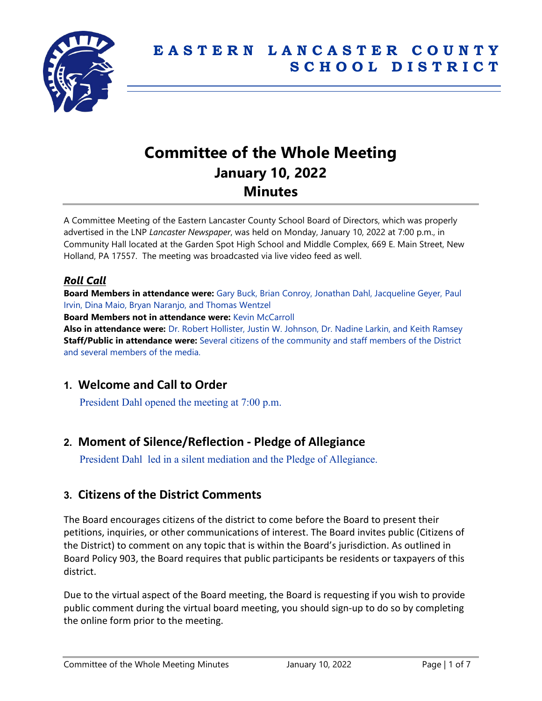

# **Committee of the Whole Meeting January 10, 2022 Minutes**

A Committee Meeting of the Eastern Lancaster County School Board of Directors, which was properly advertised in the LNP *Lancaster Newspaper*, was held on Monday, January 10, 2022 at 7:00 p.m., in Community Hall located at the Garden Spot High School and Middle Complex, 669 E. Main Street, New Holland, PA 17557. The meeting was broadcasted via live video feed as well.

# *Roll Call*

**Board Members in attendance were:** Gary Buck, Brian Conroy, Jonathan Dahl, Jacqueline Geyer, Paul Irvin, Dina Maio, Bryan Naranjo, and Thomas Wentzel

**Board Members not in attendance were:** Kevin McCarroll

**Also in attendance were:** Dr. Robert Hollister, Justin W. Johnson, Dr. Nadine Larkin, and Keith Ramsey **Staff/Public in attendance were:** Several citizens of the community and staff members of the District and several members of the media.

# **1. Welcome and Call to Order**

President Dahl opened the meeting at 7:00 p.m.

# **2. Moment of Silence/Reflection - Pledge of Allegiance**

President Dahl led in a silent mediation and the Pledge of Allegiance.

# **3. Citizens of the District Comments**

The Board encourages citizens of the district to come before the Board to present their petitions, inquiries, or other communications of interest. The Board invites public (Citizens of the District) to comment on any topic that is within the Board's jurisdiction. As outlined in Board Policy 903, the Board requires that public participants be residents or taxpayers of this district.

Due to the virtual aspect of the Board meeting, the Board is requesting if you wish to provide public comment during the virtual board meeting, you should sign-up to do so by completing the online form prior to the meeting.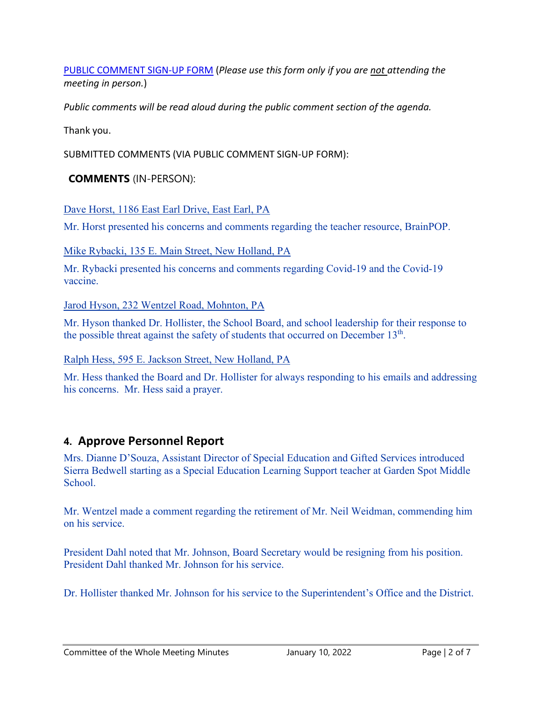[PUBLIC COMMENT SIGN-UP FORM](https://forms.gle/zDXXoX8rZQUxt1Ap6) (*Please use this form only if you are not attending the meeting in person.*)

*Public comments will be read aloud during the public comment section of the agenda.*

Thank you.

SUBMITTED COMMENTS (VIA PUBLIC COMMENT SIGN-UP FORM):

## **COMMENTS** (IN-PERSON):

Dave Horst, 1186 East Earl Drive, East Earl, PA

Mr. Horst presented his concerns and comments regarding the teacher resource, BrainPOP.

Mike Rybacki, 135 E. Main Street, New Holland, PA

Mr. Rybacki presented his concerns and comments regarding Covid-19 and the Covid-19 vaccine.

Jarod Hyson, 232 Wentzel Road, Mohnton, PA

Mr. Hyson thanked Dr. Hollister, the School Board, and school leadership for their response to the possible threat against the safety of students that occurred on December  $13<sup>th</sup>$ .

Ralph Hess, 595 E. Jackson Street, New Holland, PA

Mr. Hess thanked the Board and Dr. Hollister for always responding to his emails and addressing his concerns. Mr. Hess said a prayer.

# **4. Approve Personnel Report**

Mrs. Dianne D'Souza, Assistant Director of Special Education and Gifted Services introduced Sierra Bedwell starting as a Special Education Learning Support teacher at Garden Spot Middle School<sup>.</sup>

Mr. Wentzel made a comment regarding the retirement of Mr. Neil Weidman, commending him on his service.

President Dahl noted that Mr. Johnson, Board Secretary would be resigning from his position. President Dahl thanked Mr. Johnson for his service.

Dr. Hollister thanked Mr. Johnson for his service to the Superintendent's Office and the District.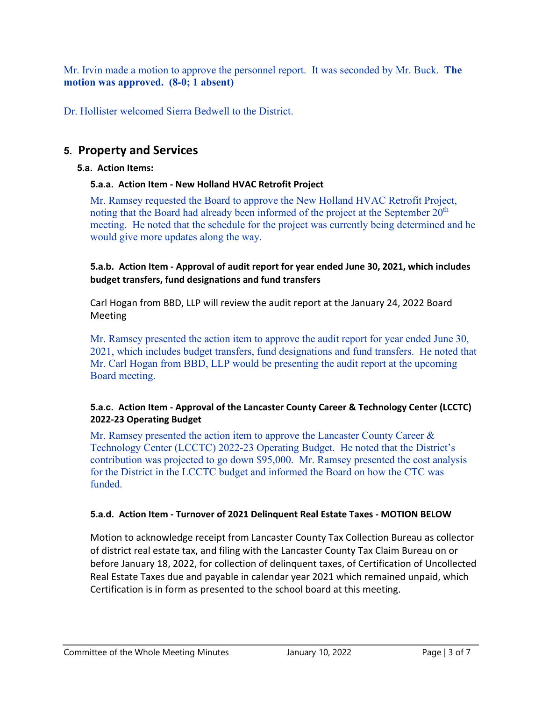Mr. Irvin made a motion to approve the personnel report. It was seconded by Mr. Buck. **The motion was approved. (8-0; 1 absent)**

Dr. Hollister welcomed Sierra Bedwell to the District.

# **5. Property and Services**

## **5.a. Action Items:**

# **5.a.a. Action Item - New Holland HVAC Retrofit Project**

Mr. Ramsey requested the Board to approve the New Holland HVAC Retrofit Project, noting that the Board had already been informed of the project at the September  $20<sup>th</sup>$ meeting. He noted that the schedule for the project was currently being determined and he would give more updates along the way.

### **5.a.b. Action Item - Approval of audit report for year ended June 30, 2021, which includes budget transfers, fund designations and fund transfers**

Carl Hogan from BBD, LLP will review the audit report at the January 24, 2022 Board Meeting

Mr. Ramsey presented the action item to approve the audit report for year ended June 30, 2021, which includes budget transfers, fund designations and fund transfers. He noted that Mr. Carl Hogan from BBD, LLP would be presenting the audit report at the upcoming Board meeting.

### **5.a.c. Action Item - Approval of the Lancaster County Career & Technology Center (LCCTC) 2022-23 Operating Budget**

Mr. Ramsey presented the action item to approve the Lancaster County Career  $\&$ Technology Center (LCCTC) 2022-23 Operating Budget. He noted that the District's contribution was projected to go down \$95,000. Mr. Ramsey presented the cost analysis for the District in the LCCTC budget and informed the Board on how the CTC was funded.

# **5.a.d. Action Item - Turnover of 2021 Delinquent Real Estate Taxes - MOTION BELOW**

Motion to acknowledge receipt from Lancaster County Tax Collection Bureau as collector of district real estate tax, and filing with the Lancaster County Tax Claim Bureau on or before January 18, 2022, for collection of delinquent taxes, of Certification of Uncollected Real Estate Taxes due and payable in calendar year 2021 which remained unpaid, which Certification is in form as presented to the school board at this meeting.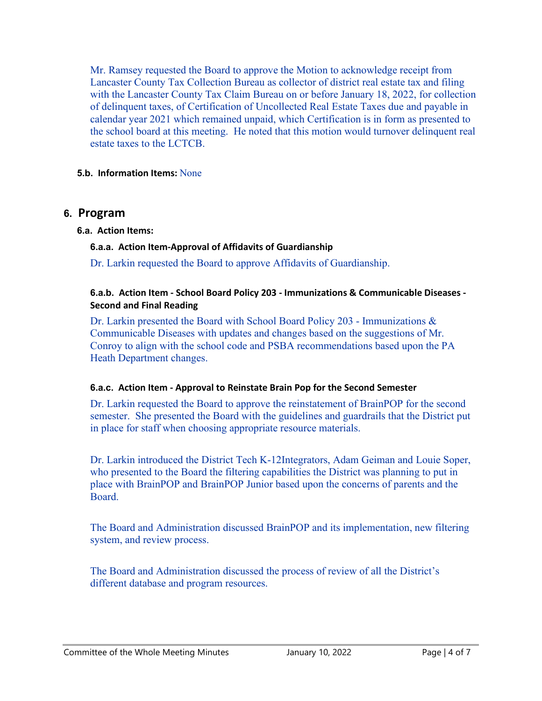Mr. Ramsey requested the Board to approve the Motion to acknowledge receipt from Lancaster County Tax Collection Bureau as collector of district real estate tax and filing with the Lancaster County Tax Claim Bureau on or before January 18, 2022, for collection of delinquent taxes, of Certification of Uncollected Real Estate Taxes due and payable in calendar year 2021 which remained unpaid, which Certification is in form as presented to the school board at this meeting. He noted that this motion would turnover delinquent real estate taxes to the LCTCB.

#### **5.b. Information Items:** None

### **6. Program**

#### **6.a. Action Items:**

#### **6.a.a. Action Item-Approval of Affidavits of Guardianship**

Dr. Larkin requested the Board to approve Affidavits of Guardianship.

#### **6.a.b. Action Item - School Board Policy 203 - Immunizations & Communicable Diseases - Second and Final Reading**

Dr. Larkin presented the Board with School Board Policy 203 - Immunizations & Communicable Diseases with updates and changes based on the suggestions of Mr. Conroy to align with the school code and PSBA recommendations based upon the PA Heath Department changes.

#### **6.a.c. Action Item - Approval to Reinstate Brain Pop for the Second Semester**

Dr. Larkin requested the Board to approve the reinstatement of BrainPOP for the second semester. She presented the Board with the guidelines and guardrails that the District put in place for staff when choosing appropriate resource materials.

Dr. Larkin introduced the District Tech K-12Integrators, Adam Geiman and Louie Soper, who presented to the Board the filtering capabilities the District was planning to put in place with BrainPOP and BrainPOP Junior based upon the concerns of parents and the Board.

The Board and Administration discussed BrainPOP and its implementation, new filtering system, and review process.

The Board and Administration discussed the process of review of all the District's different database and program resources.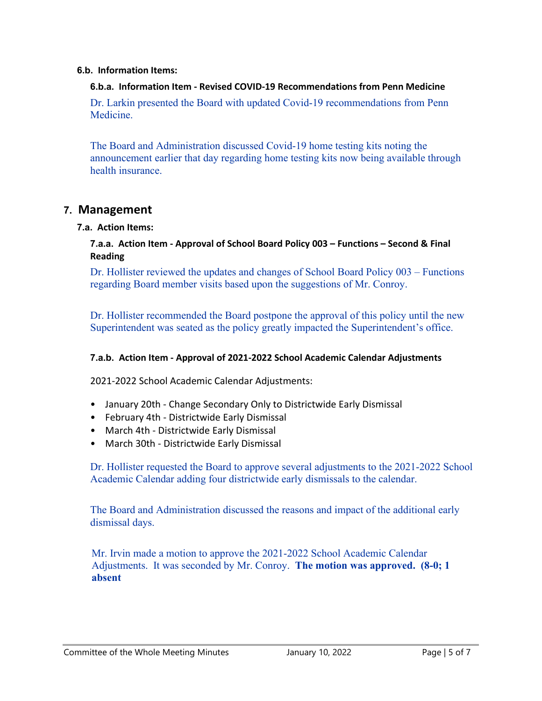#### **6.b. Information Items:**

#### **6.b.a. Information Item - Revised COVID-19 Recommendations from Penn Medicine**

Dr. Larkin presented the Board with updated Covid-19 recommendations from Penn Medicine.

The Board and Administration discussed Covid-19 home testing kits noting the announcement earlier that day regarding home testing kits now being available through health insurance.

#### **7. Management**

#### **7.a. Action Items:**

#### **7.a.a. Action Item - Approval of School Board Policy 003 – Functions – Second & Final Reading**

Dr. Hollister reviewed the updates and changes of School Board Policy 003 – Functions regarding Board member visits based upon the suggestions of Mr. Conroy.

Dr. Hollister recommended the Board postpone the approval of this policy until the new Superintendent was seated as the policy greatly impacted the Superintendent's office.

#### **7.a.b. Action Item - Approval of 2021-2022 School Academic Calendar Adjustments**

2021-2022 School Academic Calendar Adjustments:

- January 20th Change Secondary Only to Districtwide Early Dismissal
- February 4th Districtwide Early Dismissal
- March 4th Districtwide Early Dismissal
- March 30th Districtwide Early Dismissal

Dr. Hollister requested the Board to approve several adjustments to the 2021-2022 School Academic Calendar adding four districtwide early dismissals to the calendar.

The Board and Administration discussed the reasons and impact of the additional early dismissal days.

Mr. Irvin made a motion to approve the 2021-2022 School Academic Calendar Adjustments. It was seconded by Mr. Conroy. **The motion was approved. (8-0; 1 absent**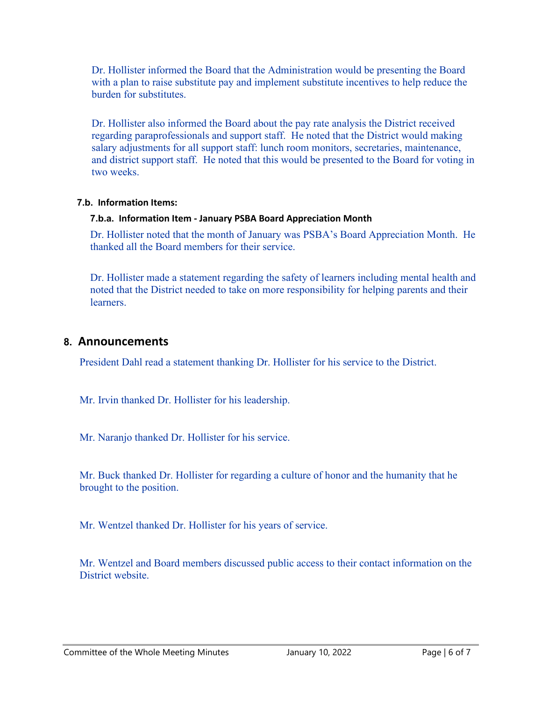Dr. Hollister informed the Board that the Administration would be presenting the Board with a plan to raise substitute pay and implement substitute incentives to help reduce the burden for substitutes.

Dr. Hollister also informed the Board about the pay rate analysis the District received regarding paraprofessionals and support staff. He noted that the District would making salary adjustments for all support staff: lunch room monitors, secretaries, maintenance, and district support staff. He noted that this would be presented to the Board for voting in two weeks.

#### **7.b. Information Items:**

#### **7.b.a. Information Item - January PSBA Board Appreciation Month**

Dr. Hollister noted that the month of January was PSBA's Board Appreciation Month. He thanked all the Board members for their service.

Dr. Hollister made a statement regarding the safety of learners including mental health and noted that the District needed to take on more responsibility for helping parents and their learners.

# **8. Announcements**

President Dahl read a statement thanking Dr. Hollister for his service to the District.

Mr. Irvin thanked Dr. Hollister for his leadership.

Mr. Naranjo thanked Dr. Hollister for his service.

Mr. Buck thanked Dr. Hollister for regarding a culture of honor and the humanity that he brought to the position.

Mr. Wentzel thanked Dr. Hollister for his years of service.

Mr. Wentzel and Board members discussed public access to their contact information on the District website.